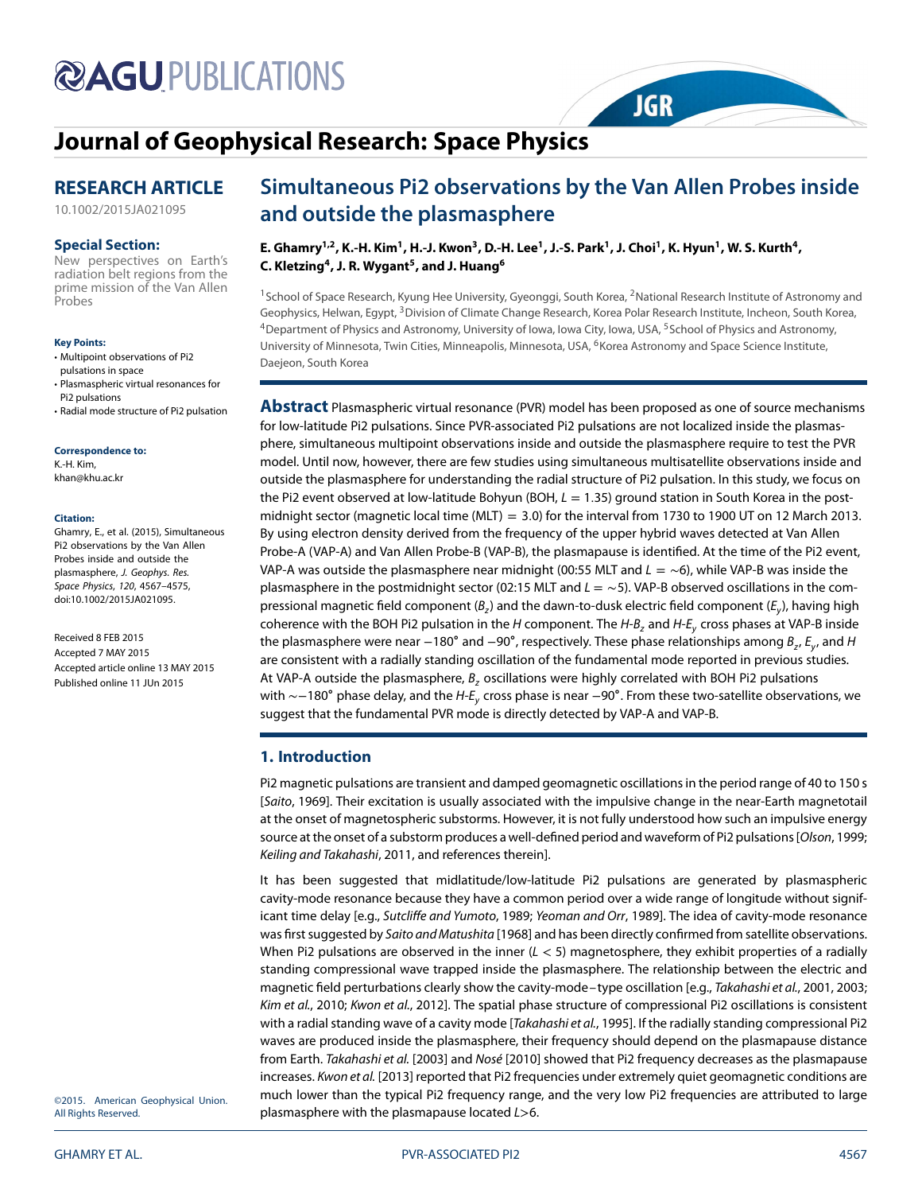# **@AGUPUBLICATIONS**

# **[Journal of Geophysical Research: Space Physics](http://onlinelibrary.wiley.com/journal/10.1002/(ISSN)2169-9402)**

### **RESEARCH ARTICLE**

[10.1002/2015JA021095](http://dx.doi.org/10.1002/2015JA021095)

#### **Special Section:**

New perspectives on Earth's radiation belt regions from the prime mission of the Van Allen Probes

#### **Key Points:**

- Multipoint observations of Pi2 pulsations in space
- Plasmaspheric virtual resonances for Pi2 pulsations
- Radial mode structure of Pi2 pulsation

**Correspondence to:** K.-H. Kim,

khan@khu.ac.kr

#### **Citation:**

Ghamry, E., et al. (2015), Simultaneous Pi2 observations by the Van Allen Probes inside and outside the plasmasphere, J. Geophys. Res. Space Physics, 120, 4567–4575, doi:10.1002/2015JA021095.

Received 8 FEB 2015 Accepted 7 MAY 2015 Accepted article online 13 MAY 2015 Published online 11 JUn 2015

## **Simultaneous Pi2 observations by the Van Allen Probes inside and outside the plasmasphere**

**JGR** 

**E. Ghamry1,2, K.-H. Kim1, H.-J. Kwon3, D.-H. Lee1, J.-S. Park1, J. Choi1, K. Hyun1, W. S. Kurth4, C. Kletzing4, J. R. Wygant5, and J. Huang6**

<sup>1</sup>School of Space Research, Kyung Hee University, Gyeonggi, South Korea, <sup>2</sup>National Research Institute of Astronomy and Geophysics, Helwan, Egypt, <sup>3</sup>Division of Climate Change Research, Korea Polar Research Institute, Incheon, South Korea, <sup>4</sup>Department of Physics and Astronomy, University of Iowa, Iowa City, Iowa, USA, <sup>5</sup>School of Physics and Astronomy, University of Minnesota, Twin Cities, Minneapolis, Minnesota, USA, <sup>6</sup>Korea Astronomy and Space Science Institute, Daejeon, South Korea

**Abstract** Plasmaspheric virtual resonance (PVR) model has been proposed as one of source mechanisms for low-latitude Pi2 pulsations. Since PVR-associated Pi2 pulsations are not localized inside the plasmasphere, simultaneous multipoint observations inside and outside the plasmasphere require to test the PVR model. Until now, however, there are few studies using simultaneous multisatellite observations inside and outside the plasmasphere for understanding the radial structure of Pi2 pulsation. In this study, we focus on the Pi2 event observed at low-latitude Bohyun (BOH,  $L = 1.35$ ) ground station in South Korea in the postmidnight sector (magnetic local time (MLT) = 3*.*0) for the interval from 1730 to 1900 UT on 12 March 2013. By using electron density derived from the frequency of the upper hybrid waves detected at Van Allen Probe-A (VAP-A) and Van Allen Probe-B (VAP-B), the plasmapause is identified. At the time of the Pi2 event, VAP-A was outside the plasmasphere near midnight (00:55 MLT and  $L = \sim 6$ ), while VAP-B was inside the plasmasphere in the postmidnight sector (02:15 MLT and  $L = \sim 5$ ). VAP-B observed oscillations in the compressional magnetic field component ( $B_z$ ) and the dawn-to-dusk electric field component ( $E_y$ ), having high coherence with the BOH Pi2 pulsation in the H component. The  $H-B$ , and  $H-E<sub>u</sub>$  cross phases at VAP-B inside the plasmasphere were near −180° and −90°, respectively. These phase relationships among  $B_z$ ,  $E_y$ , and H are consistent with a radially standing oscillation of the fundamental mode reported in previous studies. At VAP-A outside the plasmasphere,  $B_z$  oscillations were highly correlated with BOH Pi2 pulsations with  $\sim$ −180° phase delay, and the H-E<sub>v</sub> cross phase is near −90°. From these two-satellite observations, we suggest that the fundamental PVR mode is directly detected by VAP-A and VAP-B.

#### **1. Introduction**

Pi2 magnetic pulsations are transient and damped geomagnetic oscillations in the period range of 40 to 150 s [Saito, [1969\]](#page-8-0). Their excitation is usually associated with the impulsive change in the near-Earth magnetotail at the onset of magnetospheric substorms. However, it is not fully understood how such an impulsive energy source at the onset of a substorm produces a well-defined period and waveform of Pi2 pulsations [Olson, [1999;](#page-8-1) Keiling and Takahashi, [2011,](#page-7-0) and references therein].

It has been suggested that midlatitude/low-latitude Pi2 pulsations are generated by plasmaspheric cavity-mode resonance because they have a common period over a wide range of longitude without signif-icant time delay [e.g., Sutcliffe and Yumoto, [1989;](#page-8-2) Yeoman and Orr, [1989\]](#page-8-3). The idea of cavity-mode resonance was first suggested by Saito and Matushita [\[1968\]](#page-8-4) and has been directly confirmed from satellite observations. When Pi2 pulsations are observed in the inner (L *<* 5) magnetosphere, they exhibit properties of a radially standing compressional wave trapped inside the plasmasphere. The relationship between the electric and magnetic field perturbations clearly show the cavity-mode– type oscillation [e.g., Takahashi et al., [2001,](#page-8-5) [2003;](#page-8-6) Kim et al., [2010;](#page-7-1) Kwon et al., [2012\]](#page-7-2). The spatial phase structure of compressional Pi2 oscillations is consistent with a radial standing wave of a cavity mode [Takahashi et al., [1995\]](#page-8-7). If the radially standing compressional Pi2 waves are produced inside the plasmasphere, their frequency should depend on the plasmapause distance from Earth. Takahashi et al. [\[2003\]](#page-8-6) and Nosé [\[2010\]](#page-8-8) showed that Pi2 frequency decreases as the plasmapause increases. Kwon et al. [\[2013\]](#page-7-3) reported that Pi2 frequencies under extremely quiet geomagnetic conditions are much lower than the typical Pi2 frequency range, and the very low Pi2 frequencies are attributed to large plasmasphere with the plasmapause located L*>*6.

©2015. American Geophysical Union. All Rights Reserved.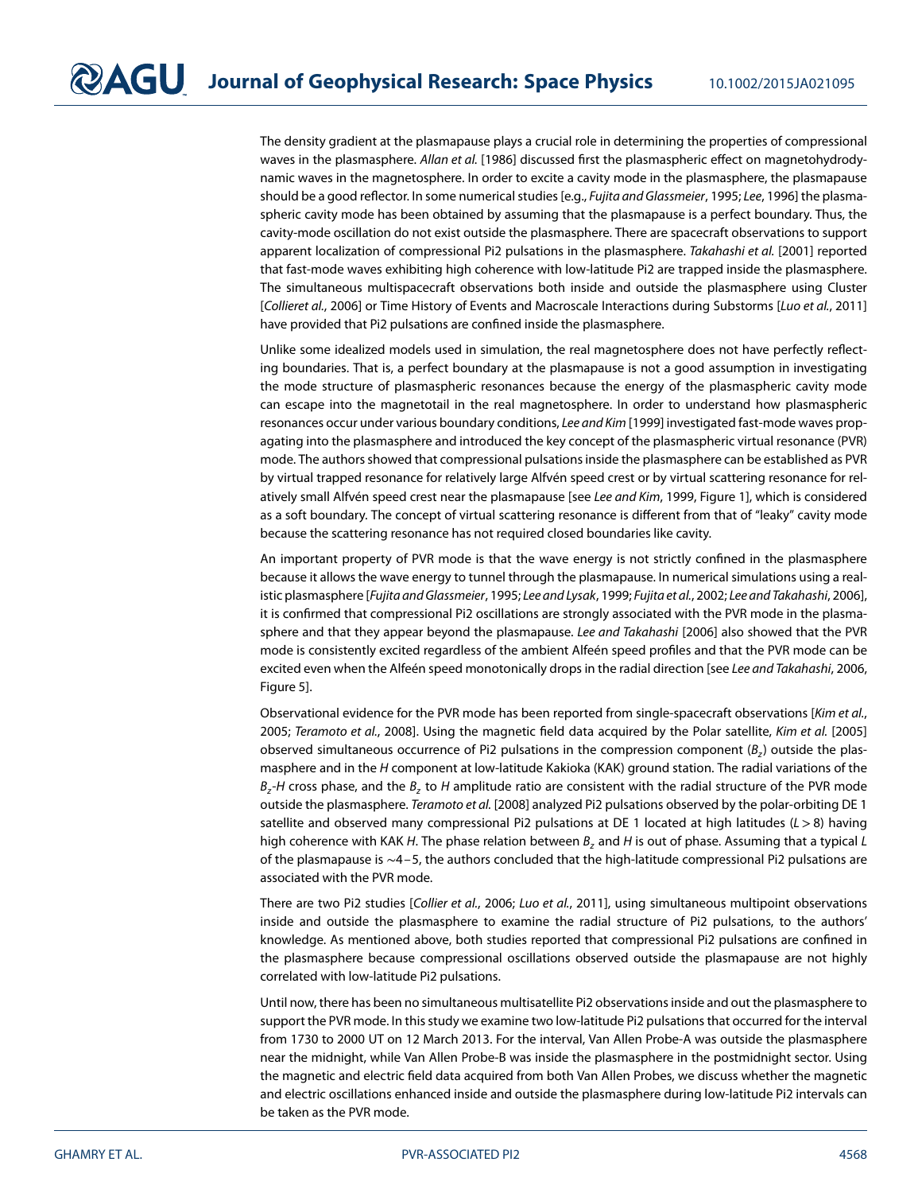The density gradient at the plasmapause plays a crucial role in determining the properties of compressional waves in the plasmasphere. Allan et al. [\[1986\]](#page-7-4) discussed first the plasmaspheric effect on magnetohydrodynamic waves in the magnetosphere. In order to excite a cavity mode in the plasmasphere, the plasmapause should be a good reflector. In some numerical studies [e.g., Fujita and Glassmeier, [1995;](#page-7-5) Lee, [1996\]](#page-7-6) the plasmaspheric cavity mode has been obtained by assuming that the plasmapause is a perfect boundary. Thus, the cavity-mode oscillation do not exist outside the plasmasphere. There are spacecraft observations to support apparent localization of compressional Pi2 pulsations in the plasmasphere. Takahashi et al. [\[2001\]](#page-8-5) reported that fast-mode waves exhibiting high coherence with low-latitude Pi2 are trapped inside the plasmasphere. The simultaneous multispacecraft observations both inside and outside the plasmasphere using Cluster [Collieret al., [2006\]](#page-7-7) or Time History of Events and Macroscale Interactions during Substorms [Luo et al., [2011\]](#page-8-9) have provided that Pi2 pulsations are confined inside the plasmasphere.

Unlike some idealized models used in simulation, the real magnetosphere does not have perfectly reflecting boundaries. That is, a perfect boundary at the plasmapause is not a good assumption in investigating the mode structure of plasmaspheric resonances because the energy of the plasmaspheric cavity mode can escape into the magnetotail in the real magnetosphere. In order to understand how plasmaspheric resonances occur under various boundary conditions, Lee and Kim [\[1999\]](#page-7-8) investigated fast-mode waves propagating into the plasmasphere and introduced the key concept of the plasmaspheric virtual resonance (PVR) mode. The authors showed that compressional pulsations inside the plasmasphere can be established as PVR by virtual trapped resonance for relatively large Alfvén speed crest or by virtual scattering resonance for rel-atively small Alfvén speed crest near the plasmapause [see Lee and Kim, [1999,](#page-7-8) Figure 1], which is considered as a soft boundary. The concept of virtual scattering resonance is different from that of "leaky" cavity mode because the scattering resonance has not required closed boundaries like cavity.

An important property of PVR mode is that the wave energy is not strictly confined in the plasmasphere because it allows the wave energy to tunnel through the plasmapause. In numerical simulations using a realistic plasmasphere [Fujita and Glassmeier, [1995;](#page-7-5) Lee and Lysak, [1999;](#page-7-9) Fujita et al., [2002;](#page-7-10) Lee and Takahashi, [2006\]](#page-8-10), it is confirmed that compressional Pi2 oscillations are strongly associated with the PVR mode in the plasma-sphere and that they appear beyond the plasmapause. Lee and Takahashi [\[2006\]](#page-8-10) also showed that the PVR mode is consistently excited regardless of the ambient Alfeén speed profiles and that the PVR mode can be excited even when the Alfeén speed monotonically drops in the radial direction [see Lee and Takahashi, [2006,](#page-8-10) Figure 5].

Observational evidence for the PVR mode has been reported from single-spacecraft observations [Kim et al., [2005;](#page-7-11) Teramoto et al., [2008\]](#page-8-11). Using the magnetic field data acquired by the Polar satellite, Kim et al. [\[2005\]](#page-7-11) observed simultaneous occurrence of Pi2 pulsations in the compression component  $(B<sub>z</sub>)$  outside the plasmasphere and in the H component at low-latitude Kakioka (KAK) ground station. The radial variations of the  $B<sub>z</sub>$ -H cross phase, and the  $B<sub>z</sub>$  to H amplitude ratio are consistent with the radial structure of the PVR mode outside the plasmasphere. Teramoto et al. [\[2008\]](#page-8-11) analyzed Pi2 pulsations observed by the polar-orbiting DE 1 satellite and observed many compressional Pi2 pulsations at DE 1 located at high latitudes (L*>*8) having high coherence with KAK H. The phase relation between  $B<sub>z</sub>$  and H is out of phase. Assuming that a typical L of the plasmapause is ∼4–5, the authors concluded that the high-latitude compressional Pi2 pulsations are associated with the PVR mode.

There are two Pi2 studies [Collier et al., [2006;](#page-7-7) Luo et al., [2011\]](#page-8-9), using simultaneous multipoint observations inside and outside the plasmasphere to examine the radial structure of Pi2 pulsations, to the authors' knowledge. As mentioned above, both studies reported that compressional Pi2 pulsations are confined in the plasmasphere because compressional oscillations observed outside the plasmapause are not highly correlated with low-latitude Pi2 pulsations.

Until now, there has been no simultaneous multisatellite Pi2 observations inside and out the plasmasphere to support the PVR mode. In this study we examine two low-latitude Pi2 pulsations that occurred for the interval from 1730 to 2000 UT on 12 March 2013. For the interval, Van Allen Probe-A was outside the plasmasphere near the midnight, while Van Allen Probe-B was inside the plasmasphere in the postmidnight sector. Using the magnetic and electric field data acquired from both Van Allen Probes, we discuss whether the magnetic and electric oscillations enhanced inside and outside the plasmasphere during low-latitude Pi2 intervals can be taken as the PVR mode.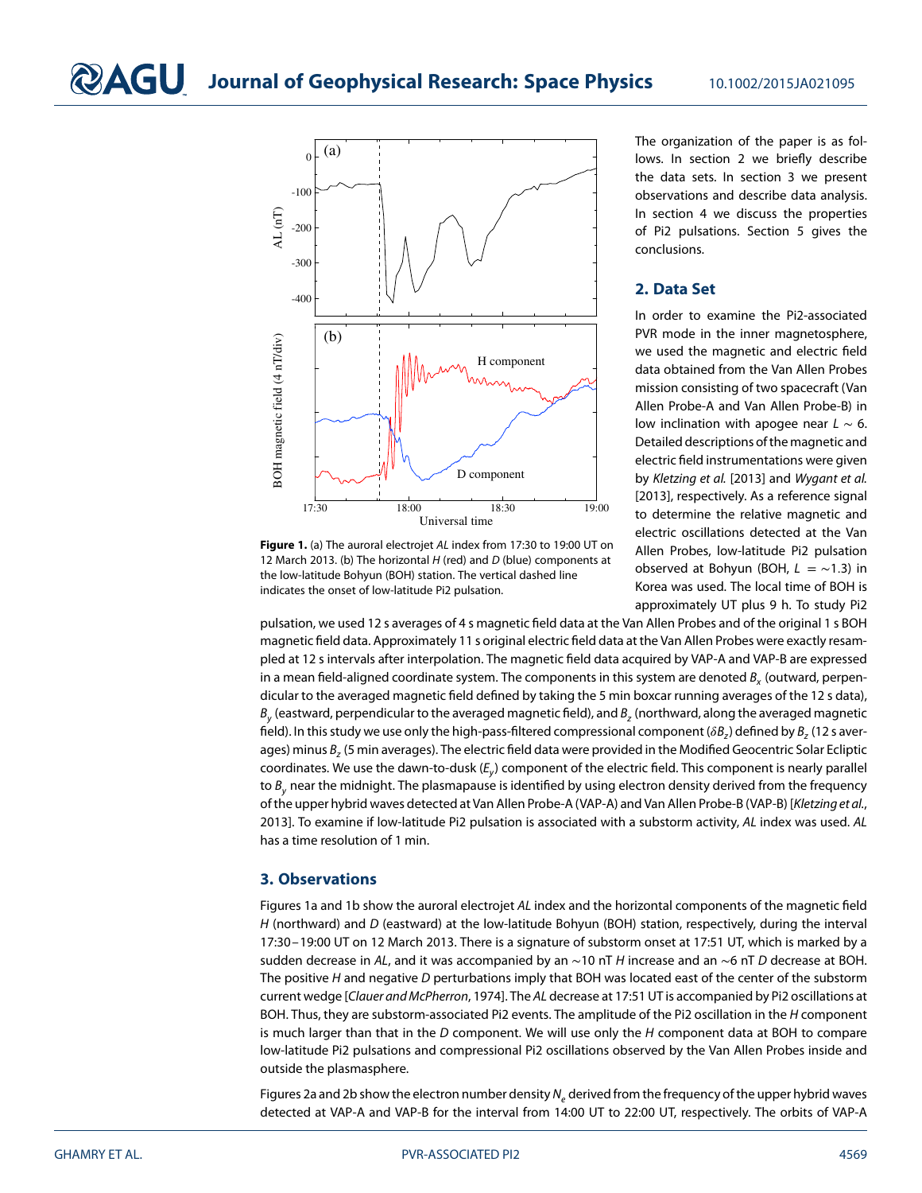

<span id="page-2-0"></span>**Figure 1.** (a) The auroral electrojet AL index from 17:30 to 19:00 UT on 12 March 2013. (b) The horizontal  $H$  (red) and  $D$  (blue) components at the low-latitude Bohyun (BOH) station. The vertical dashed line indicates the onset of low-latitude Pi2 pulsation.

The organization of the paper is as follows. In section 2 we briefly describe the data sets. In section 3 we present observations and describe data analysis. In section 4 we discuss the properties of Pi2 pulsations. Section 5 gives the conclusions.

#### **2. Data Set**

In order to examine the Pi2-associated PVR mode in the inner magnetosphere, we used the magnetic and electric field data obtained from the Van Allen Probes mission consisting of two spacecraft (Van Allen Probe-A and Van Allen Probe-B) in low inclination with apogee near  $L \sim 6$ . Detailed descriptions of the magnetic and electric field instrumentations were given by Kletzing et al. [\[2013\]](#page-7-12) and Wygant et al. [\[2013\]](#page-8-12), respectively. As a reference signal to determine the relative magnetic and electric oscillations detected at the Van Allen Probes, low-latitude Pi2 pulsation observed at Bohyun (BOH, L = ∼1*.*3) in Korea was used. The local time of BOH is approximately UT plus 9 h. To study Pi2

pulsation, we used 12 s averages of 4 s magnetic field data at the Van Allen Probes and of the original 1 s BOH magnetic field data. Approximately 11 s original electric field data at the Van Allen Probes were exactly resampled at 12 s intervals after interpolation. The magnetic field data acquired by VAP-A and VAP-B are expressed in a mean field-aligned coordinate system. The components in this system are denoted  $B_x$  (outward, perpendicular to the averaged magnetic field defined by taking the 5 min boxcar running averages of the 12 s data),  $B_{\nu}$  (eastward, perpendicular to the averaged magnetic field), and  $B_{\nu}$  (northward, along the averaged magnetic field). In this study we use only the high-pass-filtered compressional component ( $\delta B_z$ ) defined by  $B_z$  (12 s averages) minus  $B<sub>z</sub>$  (5 min averages). The electric field data were provided in the Modified Geocentric Solar Ecliptic coordinates. We use the dawn-to-dusk  $(E_v)$  component of the electric field. This component is nearly parallel to  $B_{v}$  near the midnight. The plasmapause is identified by using electron density derived from the frequency of the upper hybrid waves detected at Van Allen Probe-A (VAP-A) and Van Allen Probe-B (VAP-B) [Kletzing et al., [2013\]](#page-7-12). To examine if low-latitude Pi2 pulsation is associated with a substorm activity, AL index was used. AL has a time resolution of 1 min.

#### **3. Observations**

Figures [1a](#page-2-0) and [1b](#page-2-0) show the auroral electrojet AL index and the horizontal components of the magnetic field H (northward) and D (eastward) at the low-latitude Bohyun (BOH) station, respectively, during the interval 17:30–19:00 UT on 12 March 2013. There is a signature of substorm onset at 17:51 UT, which is marked by a sudden decrease in AL, and it was accompanied by an ~10 nT H increase and an ~6 nT D decrease at BOH. The positive  $H$  and negative  $D$  perturbations imply that BOH was located east of the center of the substorm current wedge [Clauer and McPherron, [1974\]](#page-7-13). The AL decrease at 17:51 UT is accompanied by Pi2 oscillations at BOH. Thus, they are substorm-associated Pi2 events. The amplitude of the Pi2 oscillation in the H component is much larger than that in the  $D$  component. We will use only the  $H$  component data at BOH to compare low-latitude Pi2 pulsations and compressional Pi2 oscillations observed by the Van Allen Probes inside and outside the plasmasphere.

Figure[s 2a](#page-3-0) and [2b](#page-3-0) show the electron number density  $N_e$  derived from the frequency of the upper hybrid waves detected at VAP-A and VAP-B for the interval from 14:00 UT to 22:00 UT, respectively. The orbits of VAP-A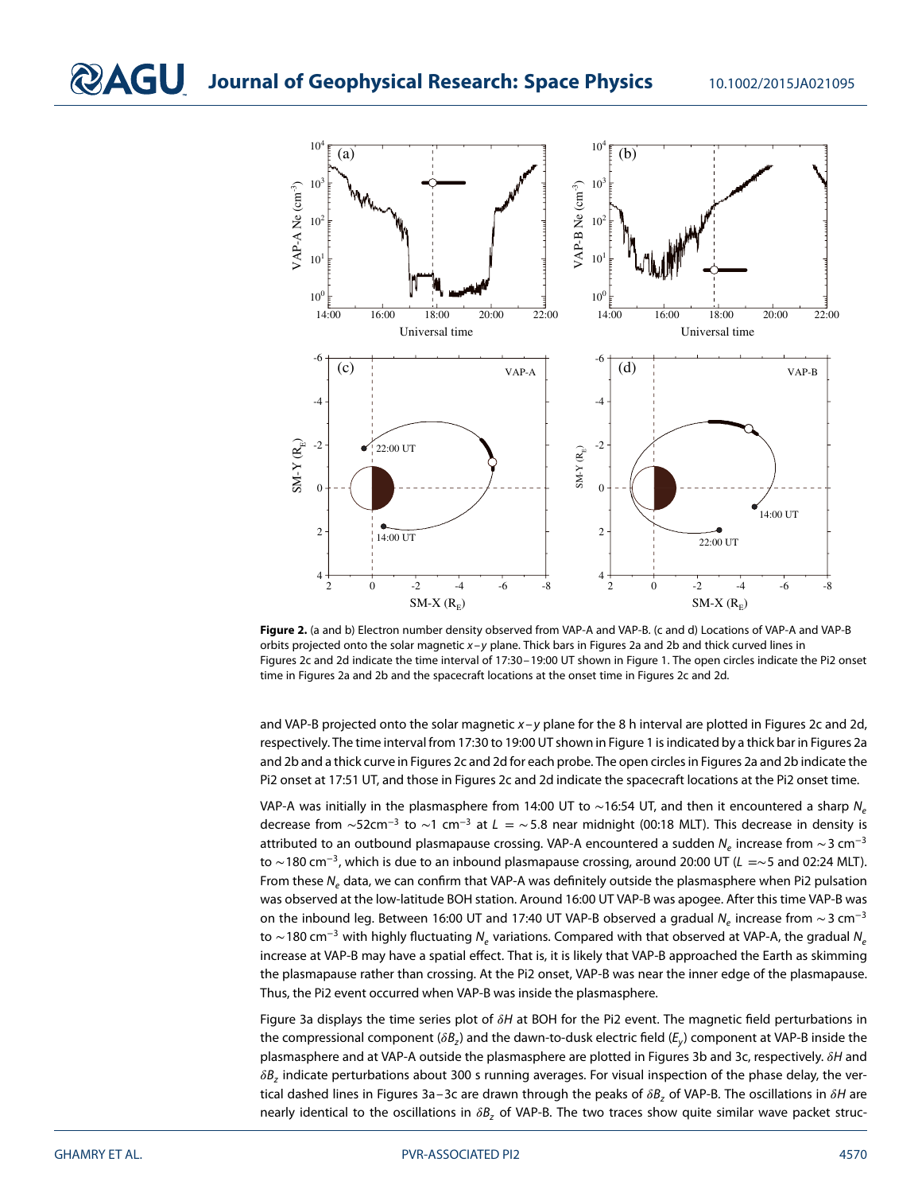

<span id="page-3-0"></span>**Figure 2.** (a and b) Electron number density observed from VAP-A and VAP-B. (c and d) Locations of VAP-A and VAP-B orbits projected onto the solar magnetic x–y plane. Thick bars in Figures [2a](#page-3-0) and [2b](#page-3-0) and thick curved lines in Figures [2c](#page-3-0) and [2d](#page-3-0) indicate the time interval of 17:30–19:00 UT shown in Figure [1.](#page-2-0) The open circles indicate the Pi2 onset time in Figures [2a](#page-3-0) and [2b](#page-3-0) and the spacecraft locations at the onset time in Figures [2c](#page-3-0) and [2d](#page-3-0).

and VAP-B projected onto the solar magnetic  $x-y$  plane for the 8 h interval are plotted in Figures [2c](#page-3-0) and [2d](#page-3-0), respectively. The time interval from 17:30 to 19:00 UT shown in Figure [1](#page-2-0) is indicated by a thick bar in Figures [2a](#page-3-0) and [2b](#page-3-0) and a thick curve in Figures [2c](#page-3-0) and [2d](#page-3-0) for each probe. The open circles in Figures [2a](#page-3-0) and [2b](#page-3-0) indicate the Pi2 onset at 17:51 UT, and those in Figures [2c](#page-3-0) and [2d](#page-3-0) indicate the spacecraft locations at the Pi2 onset time.

VAP-A was initially in the plasmasphere from 14:00 UT to ~16:54 UT, and then it encountered a sharp N<sub>e</sub> decrease from ∼52cm<sup>−</sup><sup>3</sup> to ∼1 cm<sup>−</sup><sup>3</sup> at L = ∼5*.*8 near midnight (00:18 MLT). This decrease in density is attributed to an outbound plasmapause crossing. VAP-A encountered a sudden  $N_e$  increase from  $\sim$  3 cm<sup>-3</sup> to ∼180 cm<sup>−</sup>3, which is due to an inbound plasmapause crossing, around 20:00 UT (L =∼5 and 02:24 MLT). From these  $N_e$  data, we can confirm that VAP-A was definitely outside the plasmasphere when Pi2 pulsation was observed at the low-latitude BOH station. Around 16:00 UT VAP-B was apogee. After this time VAP-B was on the inbound leg. Between 16:00 UT and 17:40 UT VAP-B observed a gradual  $N_e$  increase from  $\sim$  3 cm<sup>-3</sup> to ~180 cm<sup>-3</sup> with highly fluctuating N<sub>e</sub> variations. Compared with that observed at VAP-A, the gradual N<sub>e</sub> increase at VAP-B may have a spatial effect. That is, it is likely that VAP-B approached the Earth as skimming the plasmapause rather than crossing. At the Pi2 onset, VAP-B was near the inner edge of the plasmapause. Thus, the Pi2 event occurred when VAP-B was inside the plasmasphere.

Figure [3a](#page-4-0) displays the time series plot of  $\delta H$  at BOH for the Pi2 event. The magnetic field perturbations in the compressional component ( $\delta B_z$ ) and the dawn-to-dusk electric field ( $E_y$ ) component at VAP-B inside the plasmasphere and at VAP-A outside the plasmasphere are plotted in Figures [3b](#page-4-0) and [3c](#page-4-0), respectively.  $\delta H$  and  $\delta B$ , indicate perturbations about 300 s running averages. For visual inspection of the phase delay, the vertical dashed lines in Figures 3a-3c are drawn through the peaks of  $\delta B_z$  of VAP-B. The oscillations in  $\delta H$  are nearly identical to the oscillations in  $\delta B$ , of VAP-B. The two traces show quite similar wave packet struc-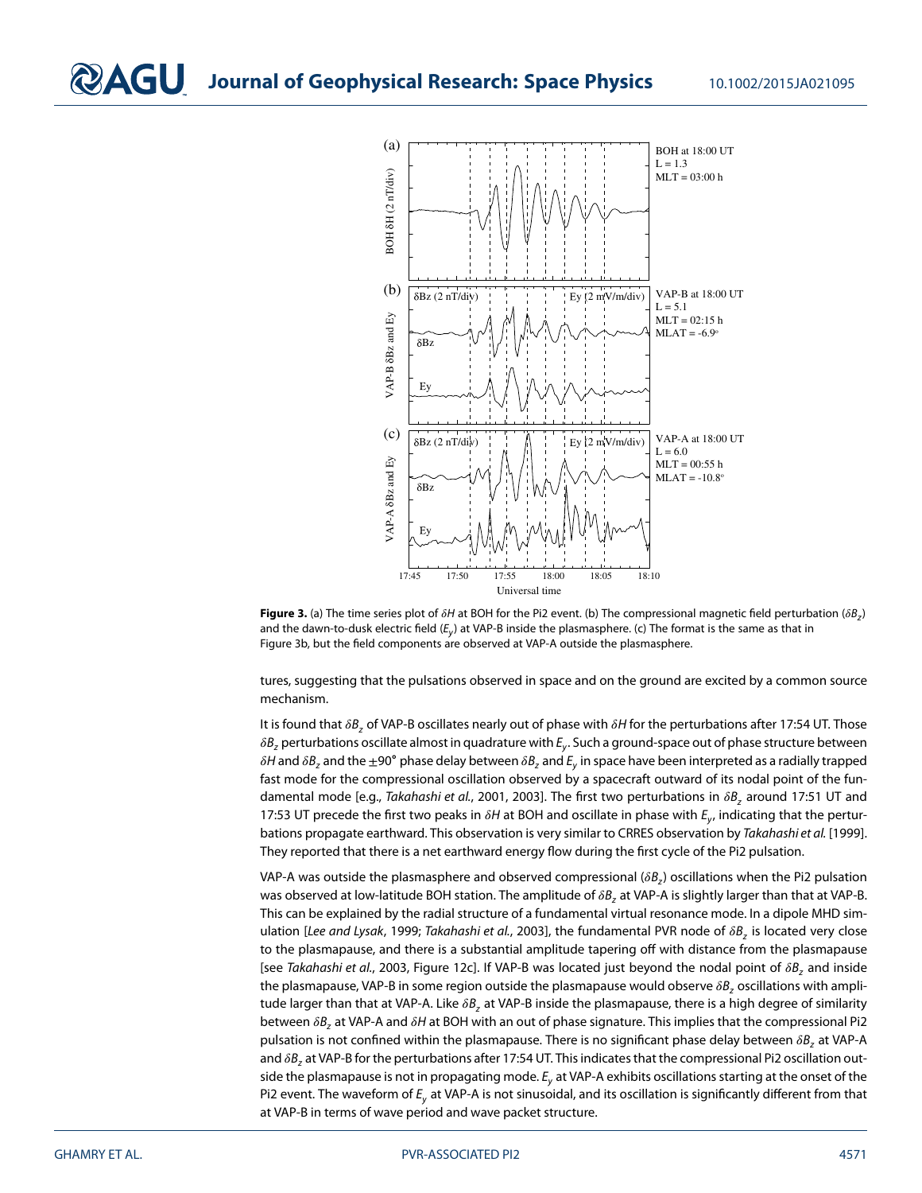

<span id="page-4-0"></span>**Figure 3.** (a) The time series plot of  $\delta H$  at BOH for the Pi2 event. (b) The compressional magnetic field perturbation ( $\delta B_7$ ) and the dawn-to-dusk electric field ( $E_y$ ) at VAP-B inside the plasmasphere. (c) The format is the same as that in Figure [3b](#page-4-0), but the field components are observed at VAP-A outside the plasmasphere.

tures, suggesting that the pulsations observed in space and on the ground are excited by a common source mechanism.

It is found that  $\delta B$ , of VAP-B oscillates nearly out of phase with  $\delta H$  for the perturbations after 17:54 UT. Those  $\delta B_z$  perturbations oscillate almost in quadrature with  $E_y$ . Such a ground-space out of phase structure between  $\delta H$  and  $\delta B_z$  and the  $\pm 90^\circ$  phase delay between  $\delta B_z$  and  $E_y$  in space have been interpreted as a radially trapped fast mode for the compressional oscillation observed by a spacecraft outward of its nodal point of the fun-damental mode [e.g., Takahashi et al., [2001,](#page-8-5) [2003\]](#page-8-6). The first two perturbations in  $\delta B_z$  around 17:51 UT and 17:53 UT precede the first two peaks in  $\delta H$  at BOH and oscillate in phase with  $E_y$ , indicating that the perturbations propagate earthward. This observation is very similar to CRRES observation by Takahashi et al. [\[1999\]](#page-8-13). They reported that there is a net earthward energy flow during the first cycle of the Pi2 pulsation.

VAP-A was outside the plasmasphere and observed compressional ( $\delta B_z$ ) oscillations when the Pi2 pulsation was observed at low-latitude BOH station. The amplitude of  $\delta B$ , at VAP-A is slightly larger than that at VAP-B. This can be explained by the radial structure of a fundamental virtual resonance mode. In a dipole MHD sim-ulation [Lee and Lysak, [1999;](#page-7-9) Takahashi et al., [2003\]](#page-8-6), the fundamental PVR node of  $\delta B_z$  is located very close to the plasmapause, and there is a substantial amplitude tapering off with distance from the plasmapause [see Takahashi et al., [2003,](#page-8-6) Figure 12c]. If VAP-B was located just beyond the nodal point of  $\delta B_z$  and inside the plasmapause, VAP-B in some region outside the plasmapause would observe  $\delta B_z$  oscillations with amplitude larger than that at VAP-A. Like  $\delta B_z$  at VAP-B inside the plasmapause, there is a high degree of similarity between  $\delta B_z$  at VAP-A and  $\delta H$  at BOH with an out of phase signature. This implies that the compressional Pi2 pulsation is not confined within the plasmapause. There is no significant phase delay between  $\delta B_z$  at VAP-A and  $\delta B_z$  at VAP-B for the perturbations after 17:54 UT. This indicates that the compressional Pi2 oscillation outside the plasmapause is not in propagating mode.  $E<sub>v</sub>$  at VAP-A exhibits oscillations starting at the onset of the Pi2 event. The waveform of  $E_v$  at VAP-A is not sinusoidal, and its oscillation is significantly different from that at VAP-B in terms of wave period and wave packet structure.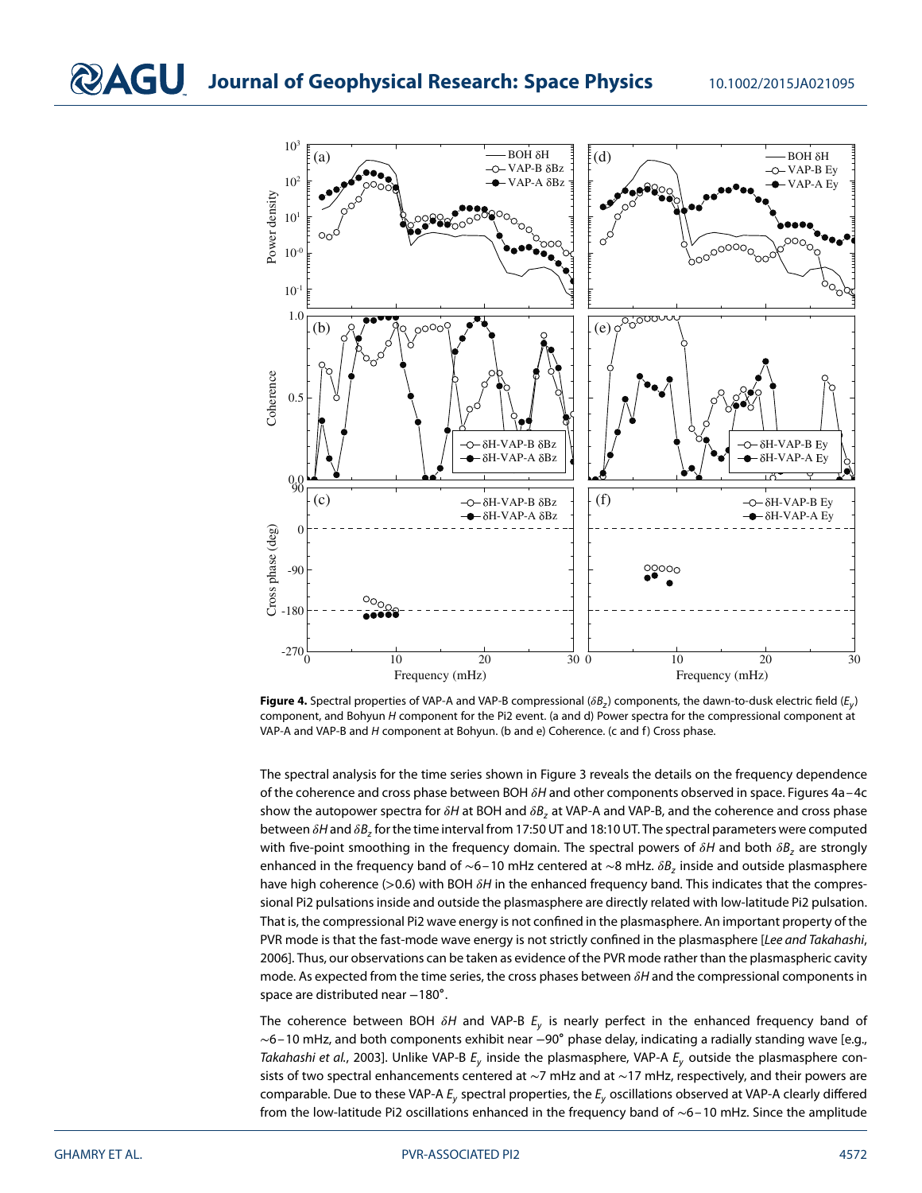

<span id="page-5-0"></span>**Figure 4.** Spectral properties of VAP-A and VAP-B compressional ( $\delta B_z$ ) components, the dawn-to-dusk electric field ( $E_y$ ) component, and Bohyun H component for the Pi2 event. (a and d) Power spectra for the compressional component at VAP-A and VAP-B and H component at Bohyun. (b and e) Coherence. (c and f) Cross phase.

The spectral analysis for the time series shown in Figure [3](#page-4-0) reveals the details on the frequency dependence of the coherence and cross phase between BOH  $\delta$ H and other components observed in space. Figures 4a-4c show the autopower spectra for  $\delta H$  at BOH and  $\delta B_z$  at VAP-A and VAP-B, and the coherence and cross phase between  $\delta H$  and  $\delta B$ , for the time interval from 17:50 UT and 18:10 UT. The spectral parameters were computed with five-point smoothing in the frequency domain. The spectral powers of  $\delta H$  and both  $\delta B_z$  are strongly enhanced in the frequency band of ~6–10 mHz centered at ~8 mHz.  $\delta B_z$  inside and outside plasmasphere have high coherence (>0.6) with BOH  $\delta H$  in the enhanced frequency band. This indicates that the compressional Pi2 pulsations inside and outside the plasmasphere are directly related with low-latitude Pi2 pulsation. That is, the compressional Pi2 wave energy is not confined in the plasmasphere. An important property of the PVR mode is that the fast-mode wave energy is not strictly confined in the plasmasphere [Lee and Takahashi, [2006\]](#page-8-10). Thus, our observations can be taken as evidence of the PVR mode rather than the plasmaspheric cavity mode. As expected from the time series, the cross phases between  $\delta H$  and the compressional components in space are distributed near -180°.

The coherence between BOH  $\delta H$  and VAP-B  $E_y$  is nearly perfect in the enhanced frequency band of ∼6–10 mHz, and both components exhibit near −90∘ phase delay, indicating a radially standing wave [e.g., Takahashi et al., [2003\]](#page-8-6). Unlike VAP-B  $E_v$  inside the plasmasphere, VAP-A  $E_v$  outside the plasmasphere consists of two spectral enhancements centered at ∼7 mHz and at ∼17 mHz, respectively, and their powers are comparable. Due to these VAP-A  $E_v$  spectral properties, the  $E_v$  oscillations observed at VAP-A clearly differed from the low-latitude Pi2 oscillations enhanced in the frequency band of ∼6–10 mHz. Since the amplitude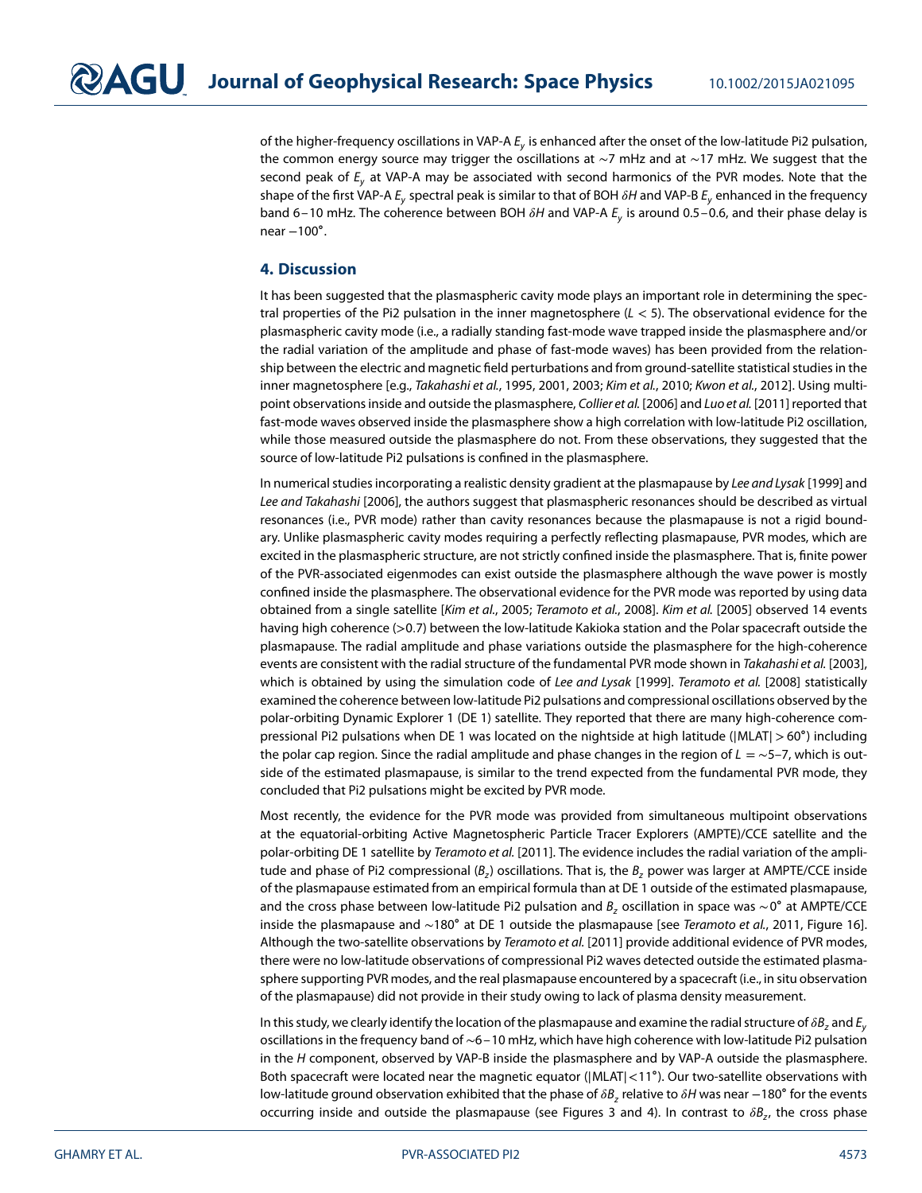of the higher-frequency oscillations in VAP-A  $E_v$  is enhanced after the onset of the low-latitude Pi2 pulsation, the common energy source may trigger the oscillations at ∼7 mHz and at ∼17 mHz. We suggest that the second peak of  $E<sub>v</sub>$  at VAP-A may be associated with second harmonics of the PVR modes. Note that the shape of the first VAP-A  $E_v$  spectral peak is similar to that of BOH  $\delta H$  and VAP-B  $E_v$  enhanced in the frequency band 6–10 mHz. The coherence between BOH  $\delta H$  and VAP-A  $E_v$  is around 0.5–0.6, and their phase delay is near  $-100^\circ$ .

#### **4. Discussion**

It has been suggested that the plasmaspheric cavity mode plays an important role in determining the spectral properties of the Pi2 pulsation in the inner magnetosphere (L *<* 5). The observational evidence for the plasmaspheric cavity mode (i.e., a radially standing fast-mode wave trapped inside the plasmasphere and/or the radial variation of the amplitude and phase of fast-mode waves) has been provided from the relationship between the electric and magnetic field perturbations and from ground-satellite statistical studies in the inner magnetosphere [e.g., Takahashi et al., [1995,](#page-8-7) [2001,](#page-8-5) [2003;](#page-8-6) Kim et al., [2010;](#page-7-1) Kwon et al., [2012\]](#page-7-2). Using multi-point observations inside and outside the plasmasphere, Collier et al. [\[2006\]](#page-7-7) and Luo et al. [\[2011\]](#page-8-9) reported that fast-mode waves observed inside the plasmasphere show a high correlation with low-latitude Pi2 oscillation, while those measured outside the plasmasphere do not. From these observations, they suggested that the source of low-latitude Pi2 pulsations is confined in the plasmasphere.

In numerical studies incorporating a realistic density gradient at the plasmapause by Lee and Lysak [\[1999\]](#page-7-9) and Lee and Takahashi [\[2006\]](#page-8-10), the authors suggest that plasmaspheric resonances should be described as virtual resonances (i.e., PVR mode) rather than cavity resonances because the plasmapause is not a rigid boundary. Unlike plasmaspheric cavity modes requiring a perfectly reflecting plasmapause, PVR modes, which are excited in the plasmaspheric structure, are not strictly confined inside the plasmasphere. That is, finite power of the PVR-associated eigenmodes can exist outside the plasmasphere although the wave power is mostly confined inside the plasmasphere. The observational evidence for the PVR mode was reported by using data obtained from a single satellite [Kim et al., [2005;](#page-7-11) Teramoto et al., [2008\]](#page-8-11). Kim et al. [\[2005\]](#page-7-11) observed 14 events having high coherence (*>*0*.*7) between the low-latitude Kakioka station and the Polar spacecraft outside the plasmapause. The radial amplitude and phase variations outside the plasmasphere for the high-coherence events are consistent with the radial structure of the fundamental PVR mode shown in Takahashi et al. [\[2003\]](#page-8-6), which is obtained by using the simulation code of Lee and Lysak [\[1999\]](#page-7-9). Teramoto et al. [\[2008\]](#page-8-11) statistically examined the coherence between low-latitude Pi2 pulsations and compressional oscillations observed by the polar-orbiting Dynamic Explorer 1 (DE 1) satellite. They reported that there are many high-coherence compressional Pi2 pulsations when DE 1 was located on the nightside at high latitude (|MLAT|*>*60∘) including the polar cap region. Since the radial amplitude and phase changes in the region of  $L = \sim 5-7$ , which is outside of the estimated plasmapause, is similar to the trend expected from the fundamental PVR mode, they concluded that Pi2 pulsations might be excited by PVR mode.

Most recently, the evidence for the PVR mode was provided from simultaneous multipoint observations at the equatorial-orbiting Active Magnetospheric Particle Tracer Explorers (AMPTE)/CCE satellite and the polar-orbiting DE 1 satellite by Teramoto et al. [\[2011\]](#page-8-14). The evidence includes the radial variation of the amplitude and phase of Pi2 compressional  $(B<sub>z</sub>)$  oscillations. That is, the  $B<sub>z</sub>$  power was larger at AMPTE/CCE inside of the plasmapause estimated from an empirical formula than at DE 1 outside of the estimated plasmapause, and the cross phase between low-latitude Pi2 pulsation and B<sub>z</sub> oscillation in space was ∼0° at AMPTE/CCE inside the plasmapause and ∼180∘ at DE 1 outside the plasmapause [see Teramoto et al., [2011,](#page-8-14) Figure 16]. Although the two-satellite observations by Teramoto et al. [\[2011\]](#page-8-14) provide additional evidence of PVR modes, there were no low-latitude observations of compressional Pi2 waves detected outside the estimated plasmasphere supporting PVR modes, and the real plasmapause encountered by a spacecraft (i.e., in situ observation of the plasmapause) did not provide in their study owing to lack of plasma density measurement.

In this study, we clearly identify the location of the plasmapause and examine the radial structure of  $\delta B_z$  and  $E_y$ oscillations in the frequency band of ∼6–10 mHz, which have high coherence with low-latitude Pi2 pulsation in the H component, observed by VAP-B inside the plasmasphere and by VAP-A outside the plasmasphere. Both spacecraft were located near the magnetic equator (|MLAT|*<*11∘). Our two-satellite observations with low-latitude ground observation exhibited that the phase of  $\delta B$ , relative to  $\delta H$  was near −180° for the events occurring inside and outside the plasmapause (see Figures [3](#page-4-0) and [4\)](#page-5-0). In contrast to  $\delta B_{\tau}$ , the cross phase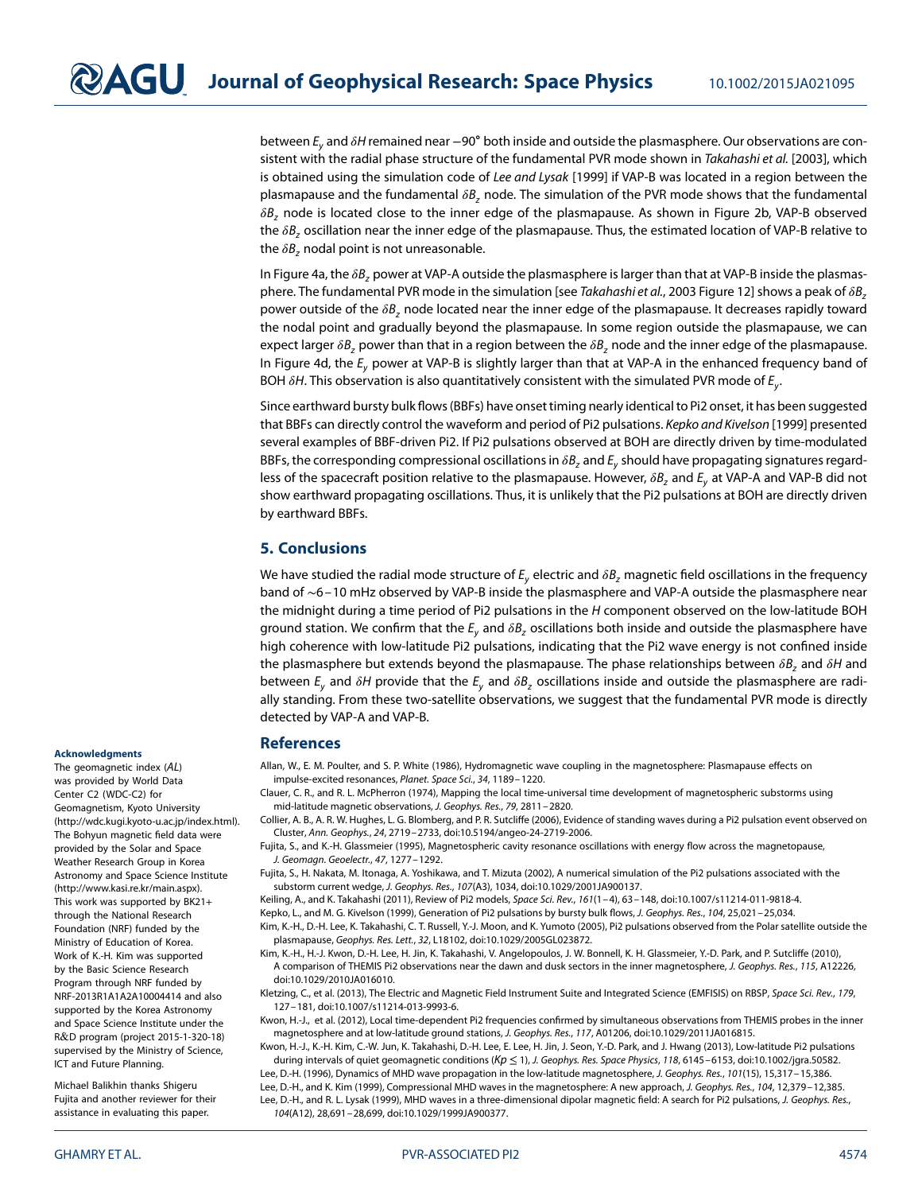between E<sub>v</sub> and  $\delta H$  remained near −90° both inside and outside the plasmasphere. Our observations are con-sistent with the radial phase structure of the fundamental PVR mode shown in Takahashi et al. [\[2003\]](#page-8-6), which is obtained using the simulation code of Lee and Lysak [\[1999\]](#page-7-9) if VAP-B was located in a region between the plasmapause and the fundamental  $\delta B_z$  node. The simulation of the PVR mode shows that the fundamental  $\delta B$ , node is located close to the inner edge of the plasmapause. As shown in Figure [2b](#page-3-0), VAP-B observed the  $\delta B$ , oscillation near the inner edge of the plasmapause. Thus, the estimated location of VAP-B relative to the  $\delta B_z$  nodal point is not unreasonable.

In Figure [4a](#page-5-0), the  $\delta B_z$  power at VAP-A outside the plasmasphere is larger than that at VAP-B inside the plasmas-phere. The fundamental PVR mode in the simulation [see Takahashi et al., [2003](#page-8-6) Figure 12] shows a peak of  $\delta B$ , power outside of the  $\delta B$ , node located near the inner edge of the plasmapause. It decreases rapidly toward the nodal point and gradually beyond the plasmapause. In some region outside the plasmapause, we can expect larger  $\delta B$ , power than that in a region between the  $\delta B$ , node and the inner edge of the plasmapause. In Figure [4d](#page-5-0), the  $E_y$  power at VAP-B is slightly larger than that at VAP-A in the enhanced frequency band of BOH  $\delta H$ . This observation is also quantitatively consistent with the simulated PVR mode of  $E_{\nu}$ .

Since earthward bursty bulk flows (BBFs) have onset timing nearly identical to Pi2 onset, it has been suggested that BBFs can directly control the waveform and period of Pi2 pulsations. Kepko and Kivelson [\[1999\]](#page-7-14) presented several examples of BBF-driven Pi2. If Pi2 pulsations observed at BOH are directly driven by time-modulated BBFs, the corresponding compressional oscillations in  $\delta B$ , and  $E<sub>v</sub>$  should have propagating signatures regardless of the spacecraft position relative to the plasmapause. However,  $\delta B_z$  and  $E_v$  at VAP-A and VAP-B did not show earthward propagating oscillations. Thus, it is unlikely that the Pi2 pulsations at BOH are directly driven by earthward BBFs.

#### **5. Conclusions**

We have studied the radial mode structure of  $E_v$  electric and  $\delta B_z$  magnetic field oscillations in the frequency band of ∼6–10 mHz observed by VAP-B inside the plasmasphere and VAP-A outside the plasmasphere near the midnight during a time period of Pi2 pulsations in the H component observed on the low-latitude BOH ground station. We confirm that the  $E_v$  and  $\delta B_z$  oscillations both inside and outside the plasmasphere have high coherence with low-latitude Pi2 pulsations, indicating that the Pi2 wave energy is not confined inside the plasmasphere but extends beyond the plasmapause. The phase relationships between  $\delta B_z$  and  $\delta H$  and between  $E_y$  and  $\delta H$  provide that the  $E_y$  and  $\delta B_z$  oscillations inside and outside the plasmasphere are radially standing. From these two-satellite observations, we suggest that the fundamental PVR mode is directly detected by VAP-A and VAP-B.

#### <span id="page-7-4"></span>**References**

Allan, W., E. M. Poulter, and S. P. White (1986), Hydromagnetic wave coupling in the magnetosphere: Plasmapause effects on impulse-excited resonances, Planet. Space Sci., 34, 1189–1220.

<span id="page-7-13"></span>Clauer, C. R., and R. L. McPherron (1974), Mapping the local time-universal time development of magnetospheric substorms using mid-latitude magnetic observations, J. Geophys. Res., 79, 2811–2820.

<span id="page-7-7"></span>Collier, A. B., A. R. W. Hughes, L. G. Blomberg, and P. R. Sutcliffe (2006), Evidence of standing waves during a Pi2 pulsation event observed on Cluster, Ann. Geophys., 24, 2719–2733, doi[:10.5194/angeo-24-2719-2006.](http://dx.doi.org/10.5194/angeo-24-2719-2006)

<span id="page-7-5"></span>Fujita, S., and K.-H. Glassmeier (1995), Magnetospheric cavity resonance oscillations with energy flow across the magnetopause, J. Geomagn. Geoelectr., 47, 1277–1292.

<span id="page-7-10"></span>Fujita, S., H. Nakata, M. Itonaga, A. Yoshikawa, and T. Mizuta (2002), A numerical simulation of the Pi2 pulsations associated with the substorm current wedge, J. Geophys. Res., 107(A3), 1034, doi[:10.1029/2001JA900137.](http://dx.doi.org/10.1029/2001JA900137)

<span id="page-7-14"></span><span id="page-7-0"></span>Keiling, A., and K. Takahashi (2011), Review of Pi2 models, Space Sci. Rev., 161(1–4), 63–148, doi[:10.1007/s11214-011-9818-4.](http://dx.doi.org/10.1007/s11214-011-9818-4)

Kepko, L., and M. G. Kivelson (1999), Generation of Pi2 pulsations by bursty bulk flows, J. Geophys. Res., 104, 25,021-25,034.

<span id="page-7-11"></span>Kim, K.-H., D.-H. Lee, K. Takahashi, C. T. Russell, Y.-J. Moon, and K. Yumoto (2005), Pi2 pulsations observed from the Polar satellite outside the plasmapause, Geophys. Res. Lett., 32, L18102, doi[:10.1029/2005GL023872.](http://dx.doi.org/10.1029/2005GL023872)

<span id="page-7-1"></span>Kim, K.-H., H.-J. Kwon, D.-H. Lee, H. Jin, K. Takahashi, V. Angelopoulos, J. W. Bonnell, K. H. Glassmeier, Y.-D. Park, and P. Sutcliffe (2010), A comparison of THEMIS Pi2 observations near the dawn and dusk sectors in the inner magnetosphere, J. Geophys. Res., 115, A12226, doi[:10.1029/2010JA016010.](http://dx.doi.org/10.1029/2010JA016010)

<span id="page-7-12"></span>Kletzing, C., et al. (2013), The Electric and Magnetic Field Instrument Suite and Integrated Science (EMFISIS) on RBSP, Space Sci. Rev., 179, 127–181, doi[:10.1007/s11214-013-9993-6.](http://dx.doi.org/10.1007/s11214-013-9993-6)

<span id="page-7-2"></span>Kwon, H.-J., et al. (2012), Local time-dependent Pi2 frequencies confirmed by simultaneous observations from THEMIS probes in the inner magnetosphere and at low-latitude ground stations, J. Geophys. Res., 117, A01206, doi[:10.1029/2011JA016815.](http://dx.doi.org/10.1029/2011JA016815)

<span id="page-7-6"></span><span id="page-7-3"></span>Kwon, H.-J., K.-H. Kim, C.-W. Jun, K. Takahashi, D.-H. Lee, E. Lee, H. Jin, J. Seon, Y.-D. Park, and J. Hwang (2013), Low-latitude Pi2 pulsations during intervals of quiet geomagnetic conditions (K $p \le 1$ ), J. Geophys. Res. Space Physics, 118, 6145–6153, doi[:10.1002/jgra.50582.](http://dx.doi.org/10.1002/jgra.50582) Lee, D.-H. (1996), Dynamics of MHD wave propagation in the low-latitude magnetosphere, J. Geophys. Res., 101(15), 15,317–15,386.

<span id="page-7-9"></span><span id="page-7-8"></span>Lee, D.-H., and K. Kim (1999), Compressional MHD waves in the magnetosphere: A new approach, J. Geophys. Res., 104, 12,379–12,385. Lee, D.-H., and R. L. Lysak (1999), MHD waves in a three-dimensional dipolar magnetic field: A search for Pi2 pulsations, J. Geophys. Res., 104(A12), 28,691–28,699, doi[:10.1029/1999JA900377.](http://dx.doi.org/10.1029/1999JA900377)

#### **Acknowledgments**

The geomagnetic index (AL) was provided by World Data Center C2 (WDC-C2) for Geomagnetism, Kyoto University [\(http://wdc.kugi.kyoto-u.ac.jp/index.html\)](http://wdc.kugi.kyoto-u.ac.jp/index.html). The Bohyun magnetic field data were provided by the Solar and Space Weather Research Group in Korea Astronomy and Space Science Institute [\(http://www.kasi.re.kr/main.aspx\)](http://www.kasi.re.kr/main.aspx). This work was supported by BK21+ through the National Research Foundation (NRF) funded by the Ministry of Education of Korea. Work of K.-H. Kim was supported by the Basic Science Research Program through NRF funded by NRF-2013R1A1A2A10004414 and also supported by the Korea Astronomy and Space Science Institute under the R&D program (project 2015-1-320-18) supervised by the Ministry of Science, ICT and Future Planning.

Michael Balikhin thanks Shigeru Fujita and another reviewer for their assistance in evaluating this paper.